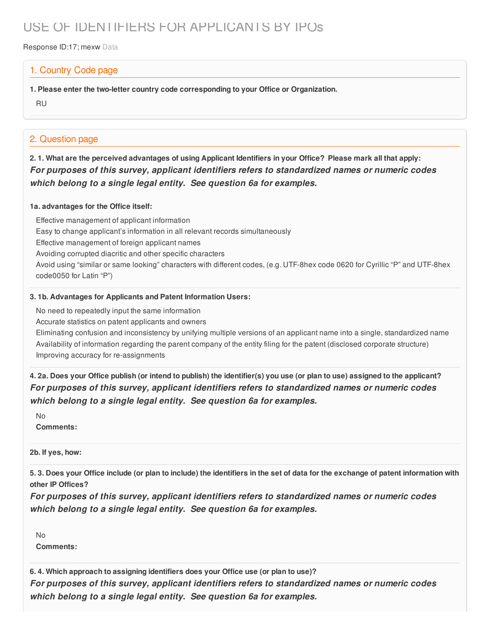# USE OF IDENTIFIERS FOR APPLICANTS BY IPOs

Response ID:17; mexw Data

### 1. Country Code page

**1. Please enter the two-letter country code corresponding to your Office or Organization.**

RU

### 2. Question page

2.1. What are the perceived advantages of using Applicant Identifiers in your Office? Please mark all that apply: *For purposes of this survey, applicant identifiers refers to standardized names or numeric codes which belong to a single legal entity. See question 6a for examples.*

#### **1a. advantages for the Office itself:**

Effective management of applicant information Easy to change applicant's information in all relevant records simultaneously Effective management of foreign applicant names Avoiding corrupted diacritic and other specific characters Avoid using "similar or same looking" characters with different codes, (e.g. UTF-8hex code 0620 for Cyrillic "P" and UTF-8hex code0050 for Latin "P")

#### **3. 1b. Advantages for Applicants and Patent Information Users:**

No need to repeatedly input the same information

Accurate statistics on patent applicants and owners

Eliminating confusion and inconsistency by unifying multiple versions of an applicant name into a single, standardized name Availability of information regarding the parent company of the entity filing for the patent (disclosed corporate structure) Improving accuracy for re-assignments

4. 2a. Does your Office publish (or intend to publish) the identifier(s) you use (or plan to use) assigned to the applicant? *For purposes of this survey, applicant identifiers refers to standardized names or numeric codes which belong to a single legal entity. See question 6a for examples.*

No

**Comments:**

**2b. If yes, how:**

5.3. Does your Office include (or plan to include) the identifiers in the set of data for the exchange of patent information with **other IP Offices?**

*For purposes of this survey, applicant identifiers refers to standardized names or numeric codes which belong to a single legal entity. See question 6a for examples.*

No **Comments:**

**6. 4. Which approach to assigning identifiers does your Office use (or plan to use)?**

*For purposes of this survey, applicant identifiers refers to standardized names or numeric codes which belong to a single legal entity. See question 6a for examples.*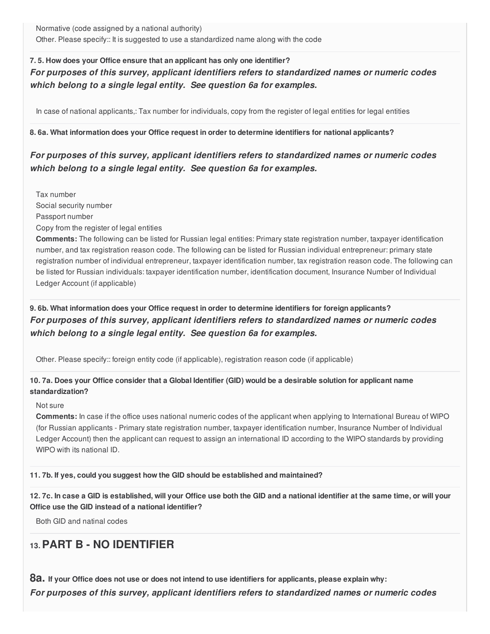Normative (code assigned by a national authority) Other. Please specify:: It is suggested to use a standardized name along with the code

### **7. 5. How does your Office ensure that an applicant has only one identifier?** *For purposes of this survey, applicant identifiers refers to standardized names or numeric codes which belong to a single legal entity. See question 6a for examples.*

In case of national applicants,: Tax number for individuals, copy from the register of legal entities for legal entities

#### **8. 6a. What information does your Office request in order to determine identifiers for national applicants?**

### *For purposes of this survey, applicant identifiers refers to standardized names or numeric codes which belong to a single legal entity. See question 6a for examples.*

Tax number Social security number Passport number Copy from the register of legal entities **Comments:** The following can be listed for Russian legal entities: Primary state registration number, taxpayer identification number, and tax registration reason code. The following can be listed for Russian individual entrepreneur: primary state registration number of individual entrepreneur, taxpayer identification number, tax registration reason code. The following can be listed for Russian individuals: taxpayer identification number, identification document, Insurance Number of Individual

Ledger Account (if applicable)

### **9. 6b. What information does your Office request in order to determine identifiers for foreign applicants?** *For purposes of this survey, applicant identifiers refers to standardized names or numeric codes which belong to a single legal entity. See question 6a for examples.*

Other. Please specify:: foreign entity code (if applicable), registration reason code (if applicable)

### 10.7a. Does your Office consider that a Global Identifier (GID) would be a desirable solution for applicant name **standardization?**

#### Not sure

**Comments:** In case if the office uses national numeric codes of the applicant when applying to International Bureau of WIPO (for Russian applicants - Primary state registration number, taxpayer identification number, Insurance Number of Individual Ledger Account) then the applicant can request to assign an international ID according to the WIPO standards by providing WIPO with its national ID.

#### **11. 7b. If yes, could you suggest how the GID should be established and maintained?**

12.7c. In case a GID is established, will your Office use both the GID and a national identifier at the same time, or will your **Office use the GID instead of a national identifier?**

Both GID and natinal codes

## **13.PART B - NO IDENTIFIER**

8a. If your Office does not use or does not intend to use identifiers for applicants, please explain why: *For purposes of this survey, applicant identifiers refers to standardized names or numeric codes*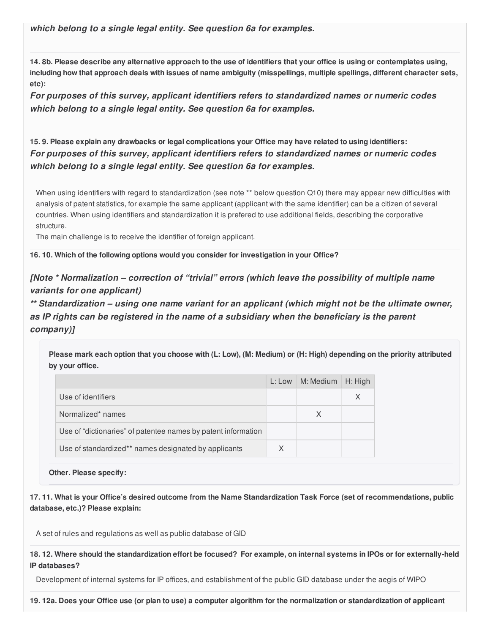*which belong to a single legal entity. See question 6a for examples.*

14.8b. Please describe any alternative approach to the use of identifiers that your office is using or contemplates using, including how that approach deals with issues of name ambiguity (misspellings, multiple spellings, different character sets, **etc):**

*For purposes of this survey, applicant identifiers refers to standardized names or numeric codes which belong to a single legal entity. See question 6a for examples.*

15.9. Please explain any drawbacks or legal complications your Office may have related to using identifiers: *For purposes of this survey, applicant identifiers refers to standardized names or numeric codes which belong to a single legal entity. See question 6a for examples.*

When using identifiers with regard to standardization (see note \*\* below question Q10) there may appear new difficulties with analysis of patent statistics, for example the same applicant (applicant with the same identifier) can be a citizen of several countries. When using identifiers and standardization it is prefered to use additional fields, describing the corporative structure.

The main challenge is to receive the identifier of foreign applicant.

**16. 10. Which of the following options would you consider for investigation in your Office?**

*[Note \* Normalization – correction of "trivial" errors (which leave the possibility of multiple name variants for one applicant)*

*\*\* Standardization – using one name variant for an applicant (which might not be the ultimate owner, as IP rights can be registered in the name of a subsidiary when the beneficiary is the parent company)]*

Please mark each option that you choose with (L: Low), (M: Medium) or (H: High) depending on the priority attributed **by your office.**

|                                                               | L: Low | M: Medium | H: High  |
|---------------------------------------------------------------|--------|-----------|----------|
| Use of identifiers                                            |        |           | $\times$ |
| Normalized* names                                             |        | X         |          |
| Use of "dictionaries" of patentee names by patent information |        |           |          |
| Use of standardized** names designated by applicants          | X      |           |          |

**Other. Please specify:**

17.11. What is your Office's desired outcome from the Name Standardization Task Force (set of recommendations, public **database, etc.)? Please explain:**

A set of rules and regulations as well as public database of GID

18.12. Where should the standardization effort be focused? For example, on internal systems in IPOs or for externally-held **IP databases?**

Development of internal systems for IP offices, and establishment of the public GID database under the aegis of WIPO

19.12a. Does your Office use (or plan to use) a computer algorithm for the normalization or standardization of applicant